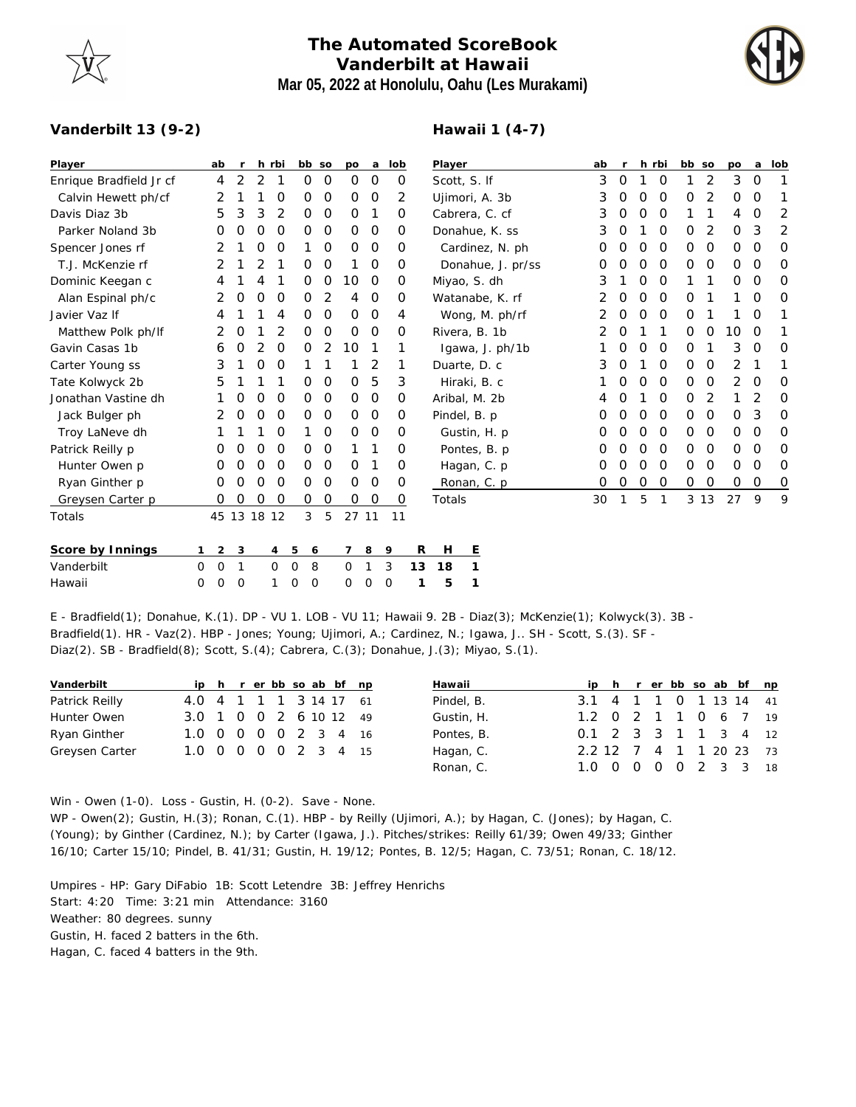## **The Automated ScoreBook Vanderbilt at Hawaii Mar 05, 2022 at Honolulu, Oahu (Les Murakami)**



## **Vanderbilt 13 (9-2)**

## **Hawaii 1 (4-7)**

| Player                  | ab                  | r  |               | h rbi        | bb so            |               | po          | a             | lob      | Player            | ab |             |   | h rbi         | bb          | SO             | <b>DO</b> | a | lob          |
|-------------------------|---------------------|----|---------------|--------------|------------------|---------------|-------------|---------------|----------|-------------------|----|-------------|---|---------------|-------------|----------------|-----------|---|--------------|
| Enrique Bradfield Jr cf | 4                   | 2  | 2             | 1            | 0                | 0             | 0           | 0             | 0        | Scott, S. If      | 3  | 0           |   | 0             | 1           | 2              | 3         | 0 | 1            |
| Calvin Hewett ph/cf     | 2                   |    |               | 0            | 0                | 0             | 0           | $\mathcal{O}$ | 2        | Ujimori, A. 3b    | 3  | 0           | 0 | O             | 0           | 2              | 0         | O | 1            |
| Davis Diaz 3b           | 5                   | 3  | 3             | 2            | 0                | 0             | 0           | 1             | 0        | Cabrera, C. cf    | 3  | 0           | 0 | 0             |             | 1              | 4         | 0 | 2            |
| Parker Noland 3b        | 0                   | 0  | 0             | 0            | 0                | 0             | 0           | 0             | Ο        | Donahue, K. ss.   | 3  | 0           |   | 0             | 0           | 2              | O         | 3 | 2            |
| Spencer Jones rf        | 2                   |    | O             | O            |                  | 0             | 0           | $\mathbf 0$   | 0        | Cardinez, N. ph.  | O  | 0           | 0 | $\mathcal{O}$ | 0           | $\mathcal{O}$  | 0         | O | O            |
| T.J. McKenzie rf        | 2                   |    | 2             |              | 0                | 0             |             | $\mathbf 0$   | 0        | Donahue, J. pr/ss | O  | 0           | 0 | $\mathbf 0$   | 0           | $\mathcal{O}$  | 0         | 0 | 0            |
| Dominic Keegan c        | 4                   |    | 4             |              | 0                | 0             | 10          | $\mathbf 0$   | 0        | Miyao, S. dh      | 3  |             | 0 | 0             |             | 1              | 0         | O | O            |
| Alan Espinal ph/c       | 2                   | 0  | 0             | 0            | 0                | 2             | 4           | $\mathbf 0$   | 0        | Watanabe, K. rf   | 2  | 0           | 0 | $\mathcal{O}$ | 0           | 1              | 1         | 0 | 0            |
| Javier Vaz If           | 4                   |    |               | 4            | 0                | 0             | $\mathbf 0$ | $\mathbf 0$   | 4        | Wong, M. ph/rf    | 2  | 0           | 0 | $\mathcal{O}$ | 0           |                |           | O | 1            |
| Matthew Polk ph/lf      | 2                   | 0  |               | 2            | 0                | $\mathcal{O}$ | 0           | $\mathbf 0$   | 0        | Rivera, B. 1b     | 2  | 0           |   | 1             | 0           | 0              | 10        | 0 | 1            |
| Gavin Casas 1b          | 6                   | 0  | 2             | 0            | 0                | 2             | 10          | 1             | 1        | Igawa, J. ph/1b   |    | 0           | O | 0             | 0           | 1              | 3         | O | 0            |
| Carter Young ss         | 3                   |    | 0             | O            |                  |               |             | 2             | 1        | Duarte, D. c      | 3  | 0           |   | 0             | $\mathbf 0$ | $\circ$        | 2         |   | 1            |
| Tate Kolwyck 2b         | 5                   |    |               |              | 0                | 0             | $\mathbf 0$ | 5             | 3        | Hiraki, B. c      |    | 0           | 0 | $\circ$       | 0           | $\circ$        | 2         | O | 0            |
| Jonathan Vastine dh     |                     | 0  | 0             | 0            | 0                | $\mathcal{O}$ | 0           | $\mathbf 0$   | 0        | Aribal, M. 2b     |    | 0           |   | 0             | 0           | 2              |           | 2 | O            |
| Jack Bulger ph          |                     | O  | O             | $\Omega$     | 0                | $\circ$       | $\circ$     | $\mathbf 0$   | $\Omega$ | Pindel, B. p.     | Ο  | 0           | 0 | $\Omega$      | $\mathbf 0$ | $\overline{O}$ | $\circ$   | 3 | 0            |
| Troy LaNeve dh          |                     |    |               | 0            | 1                | 0             | 0           | $\mathbf 0$   | 0        | Gustin, H. p.     | O  | 0           | 0 | $\circ$       | 0           | $\mathcal{O}$  | 0         | 0 | 0            |
| Patrick Reilly p        | O                   | O  | 0             | 0            | 0                | $\mathcal{O}$ |             | 1             | 0        | Pontes, B. p.     | Ο  | 0           | 0 | $\circ$       | 0           | 0              | 0         | 0 | 0            |
| Hunter Owen p           | O                   | 0  | 0             | 0            | 0                | $\mathcal{O}$ | 0           | 1             | 0        | Hagan, C. p       | 0  | 0           | 0 | $\Omega$      | $\mathbf 0$ | $\circ$        | 0         | O | 0            |
| Ryan Ginther p          | 0                   | 0  | 0             | $\circ$      | 0                | $\circ$       | $\mathbf 0$ | $\mathbf 0$   | 0        | Ronan, C. p       | 0  | $\mathbf 0$ | 0 | $\mathbf 0$   | 0           | O              | 0         | 0 | 0            |
| Greysen Carter p        | 0                   | 0  | $\mathcal{O}$ | 0            | 0                | 0             | 0           | $\mathbf 0$   | 0        | Totals            | 30 | 1           | 5 | 1             | 3 1 3       |                | 27        | 9 | $\mathsf{Q}$ |
| Totals                  | 45                  | 13 | 18            | 12           | 3                | 5             | 27 11       |               | 11       |                   |    |             |   |               |             |                |           |   |              |
| Score by Innings        | $\overline{2}$<br>1 | 3  |               | 4            | 5<br>6           |               | 7           | 8             | 9        | R<br>E<br>Н       |    |             |   |               |             |                |           |   |              |
| Vanderbilt              | $\mathbf 0$<br>0    | 1  |               | $\mathbf{O}$ | $\mathbf 0$<br>8 |               | 0           |               | 3        | 18<br>1<br>13     |    |             |   |               |             |                |           |   |              |
| Hawaii                  | 0<br>0              | 0  |               |              | 0<br>0           |               | 0           | $\Omega$      | 0        | 5<br>1            |    |             |   |               |             |                |           |   |              |

E - Bradfield(1); Donahue, K.(1). DP - VU 1. LOB - VU 11; Hawaii 9. 2B - Diaz(3); McKenzie(1); Kolwyck(3). 3B - Bradfield(1). HR - Vaz(2). HBP - Jones; Young; Ujimori, A.; Cardinez, N.; Igawa, J.. SH - Scott, S.(3). SF - Diaz(2). SB - Bradfield(8); Scott, S.(4); Cabrera, C.(3); Donahue, J.(3); Miyao, S.(1).

| Vanderbilt     |                        |  |  |  | ip h r er bb so ab bf np |  | Hawaii     | ip h r er bb so ab bf np |  |  |  |  |
|----------------|------------------------|--|--|--|--------------------------|--|------------|--------------------------|--|--|--|--|
| Patrick Reilly | 4.0 4 1 1 1 3 14 17 61 |  |  |  |                          |  | Pindel, B. | 3.1 4 1 1 0 1 13 14 41   |  |  |  |  |
| Hunter Owen    | 3.0 1 0 0 2 6 10 12 49 |  |  |  |                          |  | Gustin, H. | 1.2 0 2 1 1 0 6 7 19     |  |  |  |  |
| Ryan Ginther   | 1.0 0 0 0 0 2 3 4 16   |  |  |  |                          |  | Pontes, B. | 0.1 2 3 3 1 1 3 4 12     |  |  |  |  |
| Greysen Carter | 1.0 0 0 0 0 2 3 4 15   |  |  |  |                          |  | Hagan, C.  | 2.2 12 7 4 1 1 20 23 73  |  |  |  |  |
|                |                        |  |  |  |                          |  | Ronan, C.  | 1.0 0 0 0 0 2 3 3 18     |  |  |  |  |

Win - Owen (1-0). Loss - Gustin, H. (0-2). Save - None.

WP - Owen(2); Gustin, H.(3); Ronan, C.(1). HBP - by Reilly (Ujimori, A.); by Hagan, C. (Jones); by Hagan, C. (Young); by Ginther (Cardinez, N.); by Carter (Igawa, J.). Pitches/strikes: Reilly 61/39; Owen 49/33; Ginther 16/10; Carter 15/10; Pindel, B. 41/31; Gustin, H. 19/12; Pontes, B. 12/5; Hagan, C. 73/51; Ronan, C. 18/12.

Umpires - HP: Gary DiFabio 1B: Scott Letendre 3B: Jeffrey Henrichs Start: 4:20 Time: 3:21 min Attendance: 3160 Weather: 80 degrees. sunny Gustin, H. faced 2 batters in the 6th. Hagan, C. faced 4 batters in the 9th.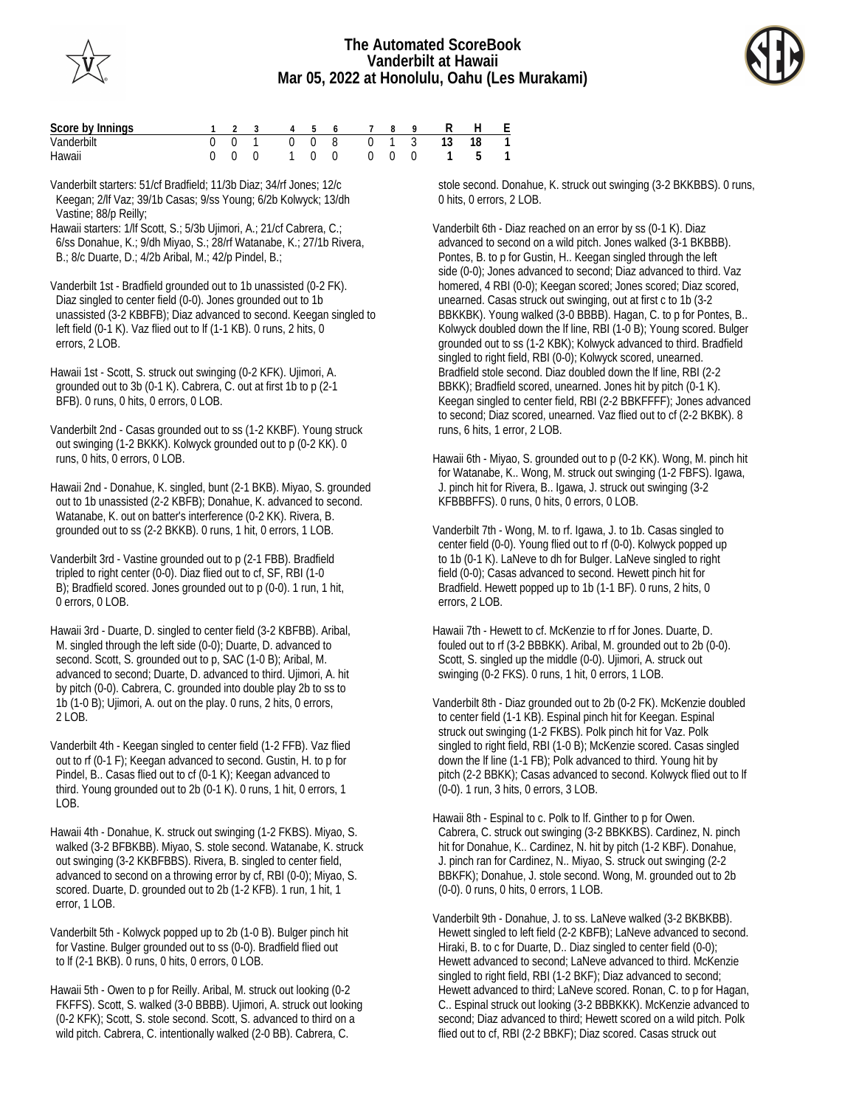



| Score by Innings |  |  |  | 1 2 3 4 5 6 7 8 9 R H E   |  |  |  |
|------------------|--|--|--|---------------------------|--|--|--|
| Vanderbilt       |  |  |  | 0 0 1 0 0 8 0 1 3 13 18 1 |  |  |  |
| Hawaii           |  |  |  | 0 0 0 1 0 0 0 0 0 1 5 1   |  |  |  |

Vanderbilt starters: 51/cf Bradfield; 11/3b Diaz; 34/rf Jones; 12/c Keegan; 2/lf Vaz; 39/1b Casas; 9/ss Young; 6/2b Kolwyck; 13/dh Vastine; 88/p Reilly;

Hawaii starters: 1/lf Scott, S.; 5/3b Ujimori, A.; 21/cf Cabrera, C.; 6/ss Donahue, K.; 9/dh Miyao, S.; 28/rf Watanabe, K.; 27/1b Rivera, B.; 8/c Duarte, D.; 4/2b Aribal, M.; 42/p Pindel, B.;

Vanderbilt 1st - Bradfield grounded out to 1b unassisted (0-2 FK). Diaz singled to center field (0-0). Jones grounded out to 1b unassisted (3-2 KBBFB); Diaz advanced to second. Keegan singled to left field (0-1 K). Vaz flied out to lf (1-1 KB). 0 runs, 2 hits, 0 errors, 2 LOB.

Hawaii 1st - Scott, S. struck out swinging (0-2 KFK). Ujimori, A. grounded out to 3b (0-1 K). Cabrera, C. out at first 1b to p (2-1 BFB). 0 runs, 0 hits, 0 errors, 0 LOB.

Vanderbilt 2nd - Casas grounded out to ss (1-2 KKBF). Young struck out swinging (1-2 BKKK). Kolwyck grounded out to p (0-2 KK). 0 runs, 0 hits, 0 errors, 0 LOB.

Hawaii 2nd - Donahue, K. singled, bunt (2-1 BKB). Miyao, S. grounded out to 1b unassisted (2-2 KBFB); Donahue, K. advanced to second. Watanabe, K. out on batter's interference (0-2 KK). Rivera, B. grounded out to ss (2-2 BKKB). 0 runs, 1 hit, 0 errors, 1 LOB.

Vanderbilt 3rd - Vastine grounded out to p (2-1 FBB). Bradfield tripled to right center (0-0). Diaz flied out to cf, SF, RBI (1-0 B); Bradfield scored. Jones grounded out to p (0-0). 1 run, 1 hit, 0 errors, 0 LOB.

Hawaii 3rd - Duarte, D. singled to center field (3-2 KBFBB). Aribal, M. singled through the left side (0-0); Duarte, D. advanced to second. Scott, S. grounded out to p, SAC (1-0 B); Aribal, M. advanced to second; Duarte, D. advanced to third. Ujimori, A. hit by pitch (0-0). Cabrera, C. grounded into double play 2b to ss to 1b (1-0 B); Ujimori, A. out on the play. 0 runs, 2 hits, 0 errors, 2 LOB.

Vanderbilt 4th - Keegan singled to center field (1-2 FFB). Vaz flied out to rf (0-1 F); Keegan advanced to second. Gustin, H. to p for Pindel, B.. Casas flied out to cf (0-1 K); Keegan advanced to third. Young grounded out to 2b (0-1 K). 0 runs, 1 hit, 0 errors, 1 LOB.

Hawaii 4th - Donahue, K. struck out swinging (1-2 FKBS). Miyao, S. walked (3-2 BFBKBB). Miyao, S. stole second. Watanabe, K. struck out swinging (3-2 KKBFBBS). Rivera, B. singled to center field, advanced to second on a throwing error by cf, RBI (0-0); Miyao, S. scored. Duarte, D. grounded out to 2b (1-2 KFB). 1 run, 1 hit, 1 error, 1 LOB.

Vanderbilt 5th - Kolwyck popped up to 2b (1-0 B). Bulger pinch hit for Vastine. Bulger grounded out to ss (0-0). Bradfield flied out to lf (2-1 BKB). 0 runs, 0 hits, 0 errors, 0 LOB.

Hawaii 5th - Owen to p for Reilly. Aribal, M. struck out looking (0-2 FKFFS). Scott, S. walked (3-0 BBBB). Ujimori, A. struck out looking (0-2 KFK); Scott, S. stole second. Scott, S. advanced to third on a wild pitch. Cabrera, C. intentionally walked (2-0 BB). Cabrera, C.

 stole second. Donahue, K. struck out swinging (3-2 BKKBBS). 0 runs, 0 hits, 0 errors, 2 LOB.

Vanderbilt 6th - Diaz reached on an error by ss (0-1 K). Diaz advanced to second on a wild pitch. Jones walked (3-1 BKBBB). Pontes, B. to p for Gustin, H.. Keegan singled through the left side (0-0); Jones advanced to second; Diaz advanced to third. Vaz homered, 4 RBI (0-0); Keegan scored; Jones scored; Diaz scored, unearned. Casas struck out swinging, out at first c to 1b (3-2 BBKKBK). Young walked (3-0 BBBB). Hagan, C. to p for Pontes, B.. Kolwyck doubled down the lf line, RBI (1-0 B); Young scored. Bulger grounded out to ss (1-2 KBK); Kolwyck advanced to third. Bradfield singled to right field, RBI (0-0); Kolwyck scored, unearned. Bradfield stole second. Diaz doubled down the lf line, RBI (2-2 BBKK); Bradfield scored, unearned. Jones hit by pitch (0-1 K). Keegan singled to center field, RBI (2-2 BBKFFFF); Jones advanced to second; Diaz scored, unearned. Vaz flied out to cf (2-2 BKBK). 8 runs, 6 hits, 1 error, 2 LOB.

Hawaii 6th - Miyao, S. grounded out to p (0-2 KK). Wong, M. pinch hit for Watanabe, K.. Wong, M. struck out swinging (1-2 FBFS). Igawa, J. pinch hit for Rivera, B.. Igawa, J. struck out swinging (3-2 KFBBBFFS). 0 runs, 0 hits, 0 errors, 0 LOB.

Vanderbilt 7th - Wong, M. to rf. Igawa, J. to 1b. Casas singled to center field (0-0). Young flied out to rf (0-0). Kolwyck popped up to 1b (0-1 K). LaNeve to dh for Bulger. LaNeve singled to right field (0-0); Casas advanced to second. Hewett pinch hit for Bradfield. Hewett popped up to 1b (1-1 BF). 0 runs, 2 hits, 0 errors, 2 LOB.

Hawaii 7th - Hewett to cf. McKenzie to rf for Jones. Duarte, D. fouled out to rf (3-2 BBBKK). Aribal, M. grounded out to 2b (0-0). Scott, S. singled up the middle (0-0). Ujimori, A. struck out swinging (0-2 FKS). 0 runs, 1 hit, 0 errors, 1 LOB.

Vanderbilt 8th - Diaz grounded out to 2b (0-2 FK). McKenzie doubled to center field (1-1 KB). Espinal pinch hit for Keegan. Espinal struck out swinging (1-2 FKBS). Polk pinch hit for Vaz. Polk singled to right field, RBI (1-0 B); McKenzie scored. Casas singled down the lf line (1-1 FB); Polk advanced to third. Young hit by pitch (2-2 BBKK); Casas advanced to second. Kolwyck flied out to lf (0-0). 1 run, 3 hits, 0 errors, 3 LOB.

Hawaii 8th - Espinal to c. Polk to lf. Ginther to p for Owen. Cabrera, C. struck out swinging (3-2 BBKKBS). Cardinez, N. pinch hit for Donahue, K.. Cardinez, N. hit by pitch (1-2 KBF). Donahue, J. pinch ran for Cardinez, N.. Miyao, S. struck out swinging (2-2 BBKFK); Donahue, J. stole second. Wong, M. grounded out to 2b (0-0). 0 runs, 0 hits, 0 errors, 1 LOB.

Vanderbilt 9th - Donahue, J. to ss. LaNeve walked (3-2 BKBKBB). Hewett singled to left field (2-2 KBFB); LaNeve advanced to second. Hiraki, B. to c for Duarte, D.. Diaz singled to center field (0-0); Hewett advanced to second; LaNeve advanced to third. McKenzie singled to right field, RBI (1-2 BKF); Diaz advanced to second; Hewett advanced to third; LaNeve scored. Ronan, C. to p for Hagan, C.. Espinal struck out looking (3-2 BBBKKK). McKenzie advanced to second; Diaz advanced to third; Hewett scored on a wild pitch. Polk flied out to cf, RBI (2-2 BBKF); Diaz scored. Casas struck out